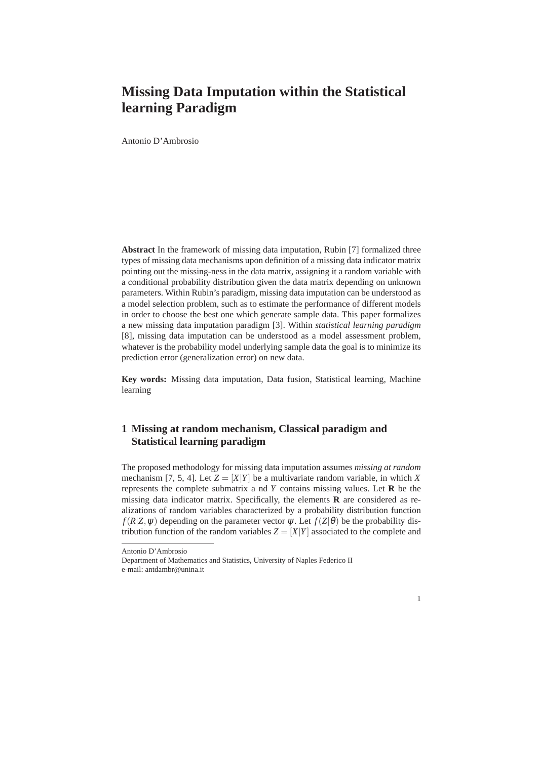## **Missing Data Imputation within the Statistical learning Paradigm**

Antonio D'Ambrosio

**Abstract** In the framework of missing data imputation, Rubin [7] formalized three types of missing data mechanisms upon definition of a missing data indicator matrix pointing out the missing-ness in the data matrix, assigning it a random variable with a conditional probability distribution given the data matrix depending on unknown parameters. Within Rubin's paradigm, missing data imputation can be understood as a model selection problem, such as to estimate the performance of different models in order to choose the best one which generate sample data. This paper formalizes a new missing data imputation paradigm [3]. Within *statistical learning paradigm* [8], missing data imputation can be understood as a model assessment problem, whatever is the probability model underlying sample data the goal is to minimize its prediction error (generalization error) on new data.

**Key words:** Missing data imputation, Data fusion, Statistical learning, Machine learning

## **1 Missing at random mechanism, Classical paradigm and Statistical learning paradigm**

The proposed methodology for missing data imputation assumes *missing at random* mechanism [7, 5, 4]. Let  $Z = [X|Y]$  be a multivariate random variable, in which *X* represents the complete submatrix a nd *Y* contains missing values. Let **R** be the missing data indicator matrix. Specifically, the elements **R** are considered as realizations of random variables characterized by a probability distribution function *f*( $R$ |*Z*,  $\psi$ ) depending on the parameter vector  $\psi$ . Let  $f(Z|\theta)$  be the probability distribution function of the random variables  $Z = [X|Y]$  associated to the complete and

Antonio D'Ambrosio

Department of Mathematics and Statistics, University of Naples Federico II e-mail: antdambr@unina.it

<sup>1</sup>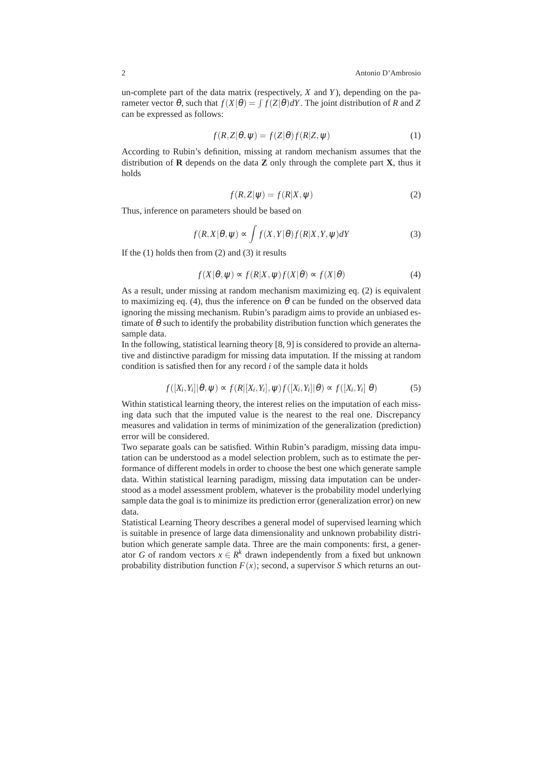un-complete part of the data matrix (respectively, *X* and *Y*), depending on the parameter vector  $\theta$ , such that  $f(X|\theta) = \int f(Z|\theta) dY$ . The joint distribution of *R* and *Z* can be expressed as follows:

$$
f(R, Z | \theta, \psi) = f(Z | \theta) f(R | Z, \psi)
$$
\n(1)

According to Rubin's definition, missing at random mechanism assumes that the distribution of **R** depends on the data **Z** only through the complete part **X**, thus it holds

$$
f(R, Z | \psi) = f(R | X, \psi)
$$
\n<sup>(2)</sup>

Thus, inference on parameters should be based on

$$
f(R, X | \theta, \psi) \propto \int f(X, Y | \theta) f(R | X, Y, \psi) dY \tag{3}
$$

If the  $(1)$  holds then from  $(2)$  and  $(3)$  it results

$$
f(X|\theta, \psi) \propto f(R|X, \psi) f(X|\theta) \propto f(X|\theta)
$$
\n(4)

As a result, under missing at random mechanism maximizing eq. (2) is equivalent to maximizing eq. (4), thus the inference on  $\theta$  can be funded on the observed data ignoring the missing mechanism. Rubin's paradigm aims to provide an unbiased estimate of  $\theta$  such to identify the probability distribution function which generates the sample data.

In the following, statistical learning theory [8, 9] is considered to provide an alternative and distinctive paradigm for missing data imputation. If the missing at random condition is satisfied then for any record *i* of the sample data it holds

$$
f([X_i, Y_i] | \theta, \psi) \propto f(R[[X_i, Y_i], \psi) f([X_i, Y_i] | \theta) \propto f([X_i, Y_i] | \theta)
$$
 (5)

Within statistical learning theory, the interest relies on the imputation of each missing data such that the imputed value is the nearest to the real one. Discrepancy measures and validation in terms of minimization of the generalization (prediction) error will be considered.

Two separate goals can be satisfied. Within Rubin's paradigm, missing data imputation can be understood as a model selection problem, such as to estimate the performance of different models in order to choose the best one which generate sample data. Within statistical learning paradigm, missing data imputation can be understood as a model assessment problem, whatever is the probability model underlying sample data the goal is to minimize its prediction error (generalization error) on new data.

Statistical Learning Theory describes a general model of supervised learning which is suitable in presence of large data dimensionality and unknown probability distribution which generate sample data. Three are the main components: first, a generator *G* of random vectors  $x \in R^k$  drawn independently from a fixed but unknown probability distribution function  $F(x)$ ; second, a supervisor *S* which returns an out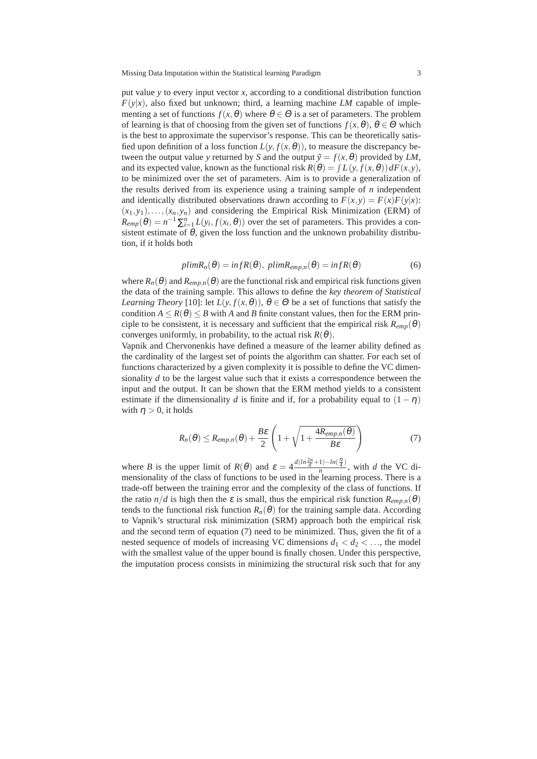Missing Data Imputation within the Statistical learning Paradigm 3

put value *y* to every input vector *x*, according to a conditional distribution function  $F(y|x)$ , also fixed but unknown; third, a learning machine *LM* capable of implementing a set of functions  $f(x, \theta)$  where  $\theta \in \Theta$  is a set of parameters. The problem of learning is that of choosing from the given set of functions  $f(x, \theta)$ ,  $\theta \in \Theta$  which is the best to approximate the supervisor's response. This can be theoretically satisfied upon definition of a loss function  $L(y, f(x, \theta))$ , to measure the discrepancy between the output value *y* returned by *S* and the output  $\tilde{y} = f(x, \theta)$  provided by *LM*, and its expected value, known as the functional risk  $R(\theta) = \int L(y, f(x, \theta)) dF(x, y)$ , to be minimized over the set of parameters. Aim is to provide a generalization of the results derived from its experience using a training sample of *n* independent and identically distributed observations drawn according to  $F(x, y) = F(x)F(y|x)$ :  $(x_1, y_1), \ldots, (x_n, y_n)$  and considering the Empirical Risk Minimization (ERM) of  $R_{emp}(\theta) = n^{-1} \sum_{i=1}^{n} L(y_i, f(x_i, \theta))$  over the set of parameters. This provides a consistent estimate of  $\theta$ , given the loss function and the unknown probability distribution, if it holds both

$$
plimR_n(\theta) = infR(\theta), plimR_{emp,n}(\theta) = infR(\theta)
$$
\n(6)

where  $R_n(\theta)$  and  $R_{emp,n}(\theta)$  are the functional risk and empirical risk functions given the data of the training sample. This allows to define the *key theorem of Statistical Learning Theory* [10]: let  $L(y, f(x, \theta))$ ,  $\theta \in \Theta$  be a set of functions that satisfy the condition  $A \le R(\theta) \le B$  with *A* and *B* finite constant values, then for the ERM principle to be consistent, it is necessary and sufficient that the empirical risk  $R_{emp}(\theta)$ converges uniformly, in probability, to the actual risk  $R(\theta)$ .

Vapnik and Chervonenkis have defined a measure of the learner ability defined as the cardinality of the largest set of points the algorithm can shatter. For each set of functions characterized by a given complexity it is possible to define the VC dimensionality *d* to be the largest value such that it exists a correspondence between the input and the output. It can be shown that the ERM method yields to a consistent estimate if the dimensionality *d* is finite and if, for a probability equal to  $(1 - \eta)$ with  $\eta > 0$ , it holds

$$
R_n(\theta) \le R_{emp,n}(\theta) + \frac{B\varepsilon}{2} \left( 1 + \sqrt{1 + \frac{4R_{emp,n}(\theta)}{B\varepsilon}} \right)
$$
 (7)

where *B* is the upper limit of  $R(\theta)$  and  $\varepsilon = 4 \frac{d(ln \frac{2n}{d} + 1) - ln(\frac{n}{4})}{n}$  $\frac{n}{n}$ , with *d* the VC dimensionality of the class of functions to be used in the learning process. There is a trade-off between the training error and the complexity of the class of functions. If the ratio *n*/*d* is high then the  $\varepsilon$  is small, thus the empirical risk function  $R_{emn,n}(\theta)$ tends to the functional risk function  $R_n(\theta)$  for the training sample data. According to Vapnik's structural risk minimization (SRM) approach both the empirical risk and the second term of equation (7) need to be minimized. Thus, given the fit of a nested sequence of models of increasing VC dimensions  $d_1 < d_2 < ...$ , the model with the smallest value of the upper bound is finally chosen. Under this perspective, the imputation process consists in minimizing the structural risk such that for any